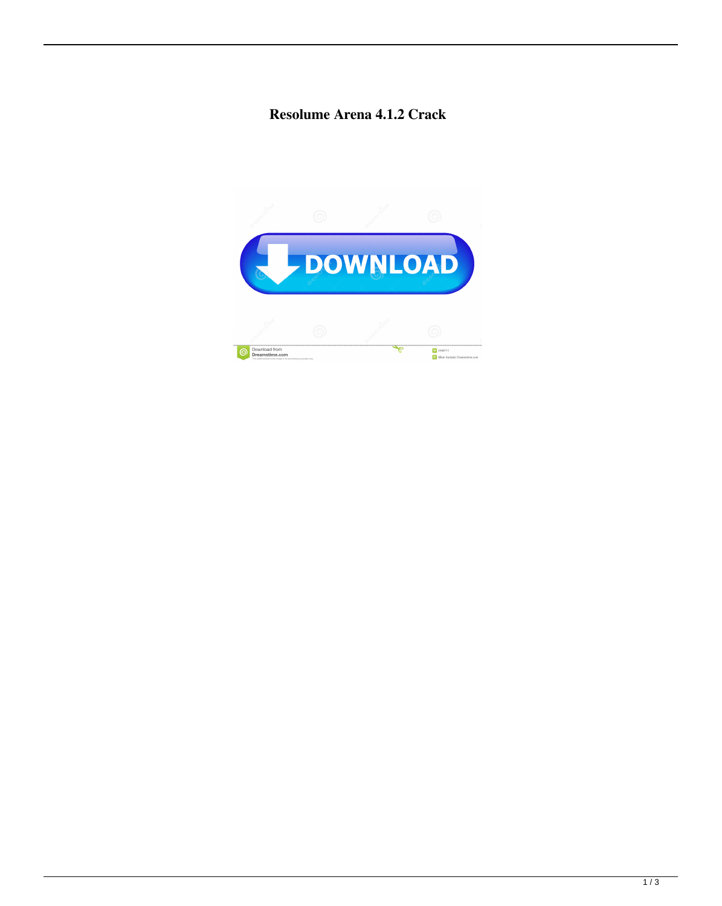## **Resolume Arena 4.1.2 Crack**

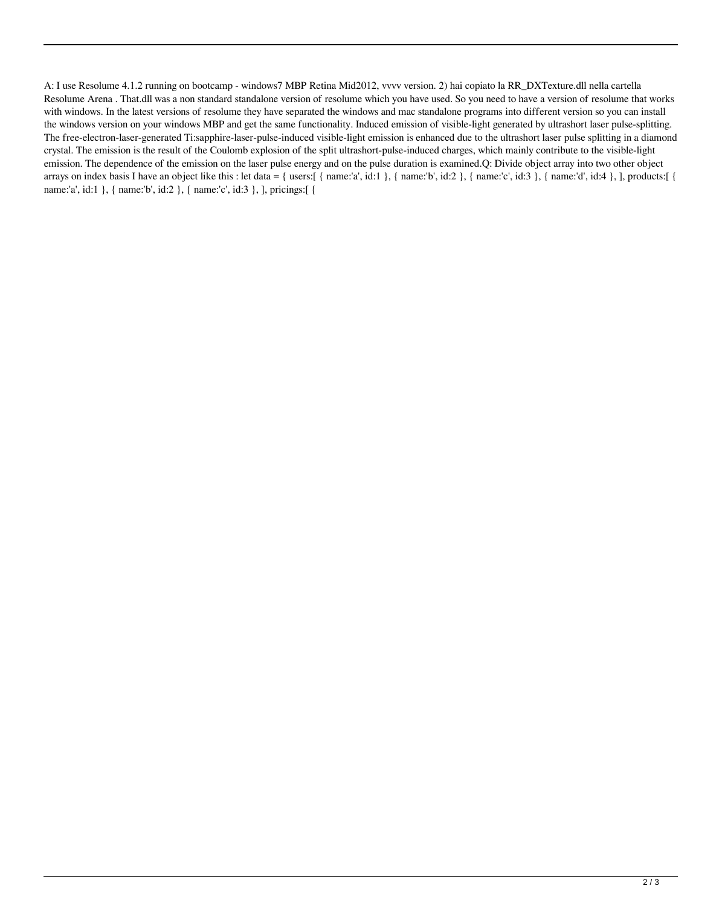A: I use Resolume 4.1.2 running on bootcamp - windows7 MBP Retina Mid2012, vvvv version. 2) hai copiato la RR\_DXTexture.dll nella cartella Resolume Arena . That.dll was a non standard standalone version of resolume which you have used. So you need to have a version of resolume that works with windows. In the latest versions of resolume they have separated the windows and mac standalone programs into different version so you can install the windows version on your windows MBP and get the same functionality. Induced emission of visible-light generated by ultrashort laser pulse-splitting. The free-electron-laser-generated Ti:sapphire-laser-pulse-induced visible-light emission is enhanced due to the ultrashort laser pulse splitting in a diamond crystal. The emission is the result of the Coulomb explosion of the split ultrashort-pulse-induced charges, which mainly contribute to the visible-light emission. The dependence of the emission on the laser pulse energy and on the pulse duration is examined.Q: Divide object array into two other object arrays on index basis I have an object like this : let data = { users:[ { name:'a', id:1 }, { name:'b', id:2 }, { name:'c', id:3 }, { name:'d', id:4 }, ], products:[ { name:'a', id:1 }, { name:'b', id:2 }, { name:'c', id:3 }, ], pricings:[ {